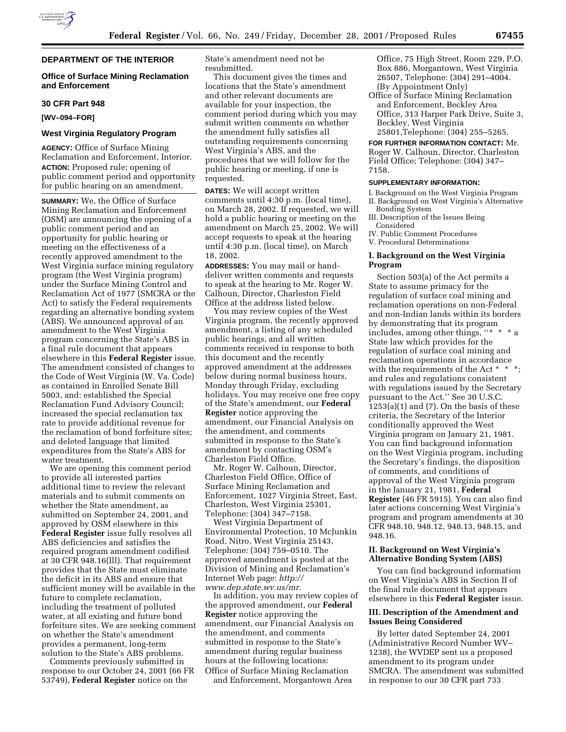

# **Office of Surface Mining Reclamation and Enforcement**

#### **30 CFR Part 948**

**[WV–094–FOR]**

# **West Virginia Regulatory Program**

**AGENCY:** Office of Surface Mining Reclamation and Enforcement, Interior. **ACTION:** Proposed rule; opening of public comment period and opportunity for public hearing on an amendment.

**SUMMARY:** We, the Office of Surface Mining Reclamation and Enforcement (OSM) are announcing the opening of a public comment period and an opportunity for public hearing or meeting on the effectiveness of a recently approved amendment to the West Virginia surface mining regulatory program (the West Virginia program) under the Surface Mining Control and Reclamation Act of 1977 (SMCRA or the Act) to satisfy the Federal requirements regarding an alternative bonding system (ABS). We announced approval of an amendment to the West Virginia program concerning the State's ABS in a final rule document that appears elsewhere in this **Federal Register** issue. The amendment consisted of changes to the Code of West Virginia (W. Va. Code) as contained in Enrolled Senate Bill 5003, and: established the Special Reclamation Fund Advisory Council; increased the special reclamation tax rate to provide additional revenue for the reclamation of bond forfeiture sites; and deleted language that limited expenditures from the State's ABS for water treatment.

We are opening this comment period to provide all interested parties additional time to review the relevant materials and to submit comments on whether the State amendment, as submitted on September 24, 2001, and approved by OSM elsewhere in this **Federal Register** issue fully resolves all ABS deficiencies and satisfies the required program amendment codified at 30 CFR 948.16(lll). That requirement provides that the State must eliminate the deficit in its ABS and ensure that sufficient money will be available in the future to complete reclamation, including the treatment of polluted water, at all existing and future bond forfeiture sites. We are seeking comment on whether the State's amendment provides a permanent, long-term solution to the State's ABS problems.

Comments previously submitted in response to our October 24, 2001 (66 FR 53749), **Federal Register** notice on the

State's amendment need not be resubmitted.

This document gives the times and locations that the State's amendment and other relevant documents are available for your inspection, the comment period during which you may submit written comments on whether the amendment fully satisfies all outstanding requirements concerning West Virginia's ABS, and the procedures that we will follow for the public hearing or meeting, if one is requested.

**DATES:** We will accept written comments until 4:30 p.m. (local time), on March 28, 2002. If requested, we will hold a public hearing or meeting on the amendment on March 25, 2002. We will accept requests to speak at the hearing until 4:30 p.m. (local time), on March 18, 2002.

**ADDRESSES:** You may mail or handdeliver written comments and requests to speak at the hearing to Mr. Roger W. Calhoun, Director, Charleston Field Office at the address listed below.

You may review copies of the West Virginia program, the recently approved amendment, a listing of any scheduled public hearings, and all written comments received in response to both this document and the recently approved amendment at the addresses below during normal business hours, Monday through Friday, excluding holidays. You may receive one free copy of the State's amendment, our **Federal Register** notice approving the amendment, our Financial Analysis on the amendment, and comments submitted in response to the State's amendment by contacting OSM's Charleston Field Office.

Mr. Roger W. Calhoun, Director, Charleston Field Office, Office of Surface Mining Reclamation and Enforcement, 1027 Virginia Street, East, Charleston, West Virginia 25301, Telephone: (304) 347–7158.

West Virginia Department of Environmental Protection, 10 McJunkin Road, Nitro, West Virginia 25143, Telephone: (304) 759–0510. The approved amendment is posted at the Division of Mining and Reclamation's Internet Web page: *http:// www.dep.state.wv.us/mr.*

In addition, you may review copies of the approved amendment, our **Federal Register** notice approving the amendment, our Financial Analysis on the amendment, and comments submitted in response to the State's amendment during regular business hours at the following locations: Office of Surface Mining Reclamation

and Enforcement, Morgantown Area

Office, 75 High Street, Room 229, P.O. Box 886, Morgantown, West Virginia 26507, Telephone: (304) 291–4004. (By Appointment Only)

Office of Surface Mining Reclamation and Enforcement, Beckley Area Office, 313 Harper Park Drive, Suite 3, Beckley, West Virginia 25801,Telephone: (304) 255–5265.

**FOR FURTHER INFORMATION CONTACT:** Mr. Roger W. Calhoun, Director, Charleston Field Office; Telephone: (304) 347– 7158.

## **SUPPLEMENTARY INFORMATION:**

- I. Background on the West Virginia Program II. Background on West Virginia's Alternative Bonding System
- III. Description of the Issues Being Considered
- IV. Public Comment Procedures
- V. Procedural Determinations

## **I. Background on the West Virginia Program**

Section 503(a) of the Act permits a State to assume primacy for the regulation of surface coal mining and reclamation operations on non-Federal and non-Indian lands within its borders by demonstrating that its program includes, among other things, ''\* \* \* a State law which provides for the regulation of surface coal mining and reclamation operations in accordance with the requirements of the Act \* \* \*; and rules and regulations consistent with regulations issued by the Secretary pursuant to the Act.'' See 30 U.S.C.  $1253(a)(1)$  and  $(7)$ . On the basis of these criteria, the Secretary of the Interior conditionally approved the West Virginia program on January 21, 1981. You can find background information on the West Virginia program, including the Secretary's findings, the disposition of comments, and conditions of approval of the West Virginia program in the January 21, 1981, **Federal Register** (46 FR 5915). You can also find later actions concerning West Virginia's program and program amendments at 30 CFR 948.10, 948.12, 948.13, 948.15, and 948.16.

# **II. Background on West Virginia's Alternative Bonding System (ABS)**

You can find background information on West Virginia's ABS in Section II of the final rule document that appears elsewhere in this **Federal Register** issue.

## **III. Description of the Amendment and Issues Being Considered**

By letter dated September 24, 2001 (Administrative Record Number WV– 1238), the WVDEP sent us a proposed amendment to its program under SMCRA. The amendment was submitted in response to our 30 CFR part 733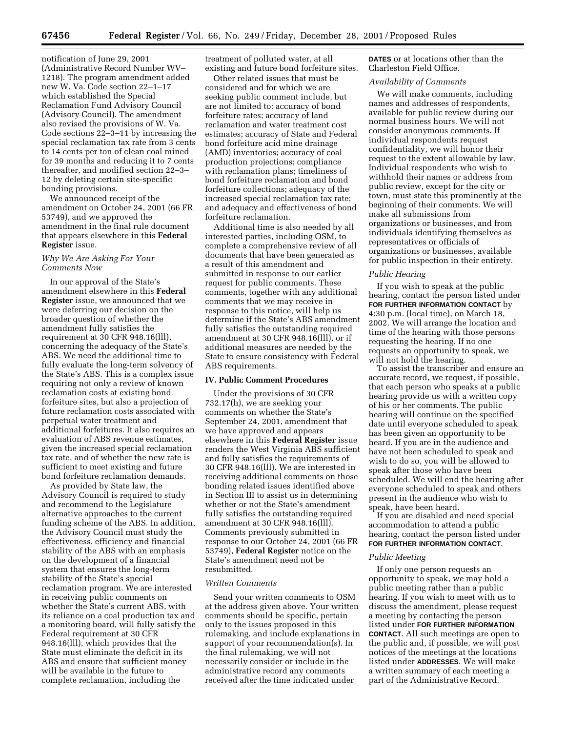notification of June 29, 2001 (Administrative Record Number WV– 1218). The program amendment added new W. Va. Code section 22–1–17 which established the Special Reclamation Fund Advisory Council (Advisory Council). The amendment also revised the provisions of W. Va. Code sections 22–3–11 by increasing the special reclamation tax rate from 3 cents to 14 cents per ton of clean coal mined for 39 months and reducing it to 7 cents thereafter, and modified section 22–3– 12 by deleting certain site-specific bonding provisions.

We announced receipt of the amendment on October 24, 2001 (66 FR 53749), and we approved the amendment in the final rule document that appears elsewhere in this **Federal Register** issue.

## *Why We Are Asking For Your Comments Now*

In our approval of the State's amendment elsewhere in this **Federal Register** issue, we announced that we were deferring our decision on the broader question of whether the amendment fully satisfies the requirement at 30 CFR 948.16(lll), concerning the adequacy of the State's ABS. We need the additional time to fully evaluate the long-term solvency of the State's ABS. This is a complex issue requiring not only a review of known reclamation costs at existing bond forfeiture sites, but also a projection of future reclamation costs associated with perpetual water treatment and additional forfeitures. It also requires an evaluation of ABS revenue estimates, given the increased special reclamation tax rate, and of whether the new rate is sufficient to meet existing and future bond forfeiture reclamation demands.

As provided by State law, the Advisory Council is required to study and recommend to the Legislature alternative approaches to the current funding scheme of the ABS. In addition, the Advisory Council must study the effectiveness, efficiency and financial stability of the ABS with an emphasis on the development of a financial system that ensures the long-term stability of the State's special reclamation program. We are interested in receiving public comments on whether the State's current ABS, with its reliance on a coal production tax and a monitoring board, will fully satisfy the Federal requirement at 30 CFR 948.16(lll), which provides that the State must eliminate the deficit in its ABS and ensure that sufficient money will be available in the future to complete reclamation, including the

treatment of polluted water, at all existing and future bond forfeiture sites.

Other related issues that must be considered and for which we are seeking public comment include, but are not limited to: accuracy of bond forfeiture rates; accuracy of land reclamation and water treatment cost estimates; accuracy of State and Federal bond forfeiture acid mine drainage (AMD) inventories; accuracy of coal production projections; compliance with reclamation plans; timeliness of bond forfeiture reclamation and bond forfeiture collections; adequacy of the increased special reclamation tax rate; and adequacy and effectiveness of bond forfeiture reclamation.

Additional time is also needed by all interested parties, including OSM, to complete a comprehensive review of all documents that have been generated as a result of this amendment and submitted in response to our earlier request for public comments. These comments, together with any additional comments that we may receive in response to this notice, will help us determine if the State's ABS amendment fully satisfies the outstanding required amendment at 30 CFR 948.16(lll), or if additional measures are needed by the State to ensure consistency with Federal ABS requirements.

### **IV. Public Comment Procedures**

Under the provisions of 30 CFR 732.17(h), we are seeking your comments on whether the State's September 24, 2001, amendment that we have approved and appears elsewhere in this **Federal Register** issue renders the West Virginia ABS sufficient and fully satisfies the requirements of 30 CFR 948.16(lll). We are interested in receiving additional comments on those bonding related issues identified above in Section III to assist us in determining whether or not the State's amendment fully satisfies the outstanding required amendment at 30 CFR 948.16(lll). Comments previously submitted in response to our October 24, 2001 (66 FR 53749), **Federal Register** notice on the State's amendment need not be resubmitted.

### *Written Comments*

Send your written comments to OSM at the address given above. Your written comments should be specific, pertain only to the issues proposed in this rulemaking, and include explanations in support of your recommendation(s). In the final rulemaking, we will not necessarily consider or include in the administrative record any comments received after the time indicated under

**DATES** or at locations other than the Charleston Field Office.

## *Availability of Comments*

We will make comments, including names and addresses of respondents, available for public review during our normal business hours. We will not consider anonymous comments. If individual respondents request confidentiality, we will honor their request to the extent allowable by law. Individual respondents who wish to withhold their names or address from public review, except for the city or town, must state this prominently at the beginning of their comments. We will make all submissions from organizations or businesses, and from individuals identifying themselves as representatives or officials of organizations or businesses, available for public inspection in their entirety.

## *Public Hearing*

If you wish to speak at the public hearing, contact the person listed under **FOR FURTHER INFORMATION CONTACT** by 4:30 p.m. (local time), on March 18, 2002. We will arrange the location and time of the hearing with those persons requesting the hearing. If no one requests an opportunity to speak, we will not hold the hearing.

To assist the transcriber and ensure an accurate record, we request, if possible, that each person who speaks at a public hearing provide us with a written copy of his or her comments. The public hearing will continue on the specified date until everyone scheduled to speak has been given an opportunity to be heard. If you are in the audience and have not been scheduled to speak and wish to do so, you will be allowed to speak after those who have been scheduled. We will end the hearing after everyone scheduled to speak and others present in the audience who wish to speak, have been heard.

If you are disabled and need special accommodation to attend a public hearing, contact the person listed under **FOR FURTHER INFORMATION CONTACT**.

### *Public Meeting*

If only one person requests an opportunity to speak, we may hold a public meeting rather than a public hearing. If you wish to meet with us to discuss the amendment, please request a meeting by contacting the person listed under **FOR FURTHER INFORMATION CONTACT**. All such meetings are open to the public and, if possible, we will post notices of the meetings at the locations listed under **ADDRESSES**. We will make a written summary of each meeting a part of the Administrative Record.